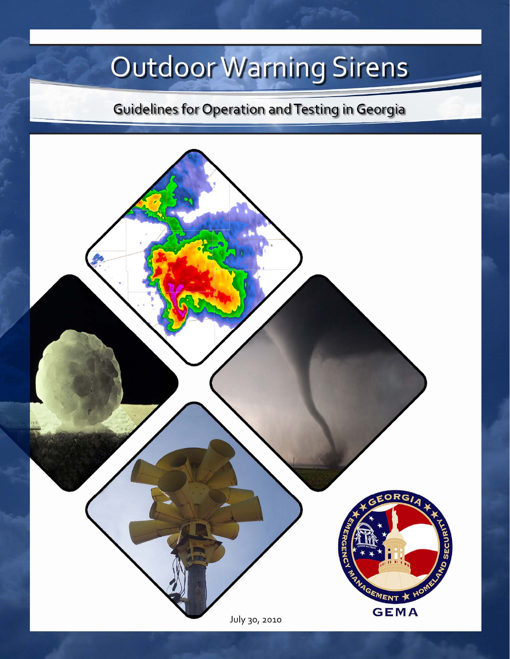# Outdoor Warning Sirens

**Guidelines for Operation and Testing in Georgia** 

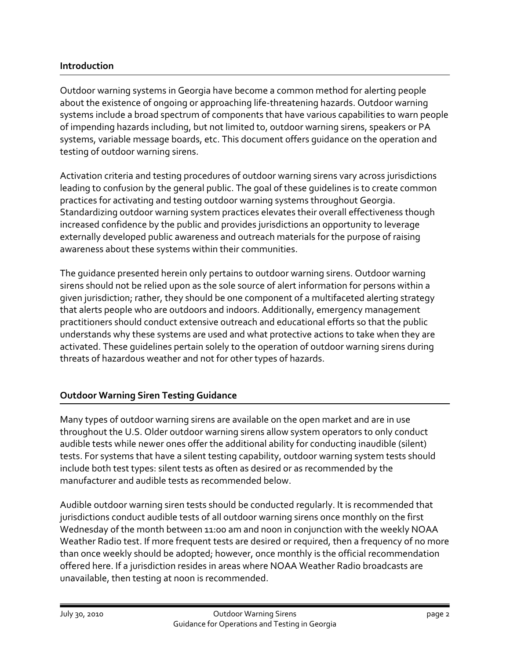### **Introduction**

Outdoor warning systems in Georgia have become a common method for alerting people about the existence of ongoing or approaching life‐threatening hazards. Outdoor warning systems include a broad spectrum of components that have various capabilities to warn people of impending hazards including, but not limited to, outdoor warning sirens, speakers or PA systems, variable message boards, etc. This document offers guidance on the operation and testing of outdoor warning sirens.

Activation criteria and testing procedures of outdoor warning sirens vary across jurisdictions leading to confusion by the general public. The goal of these guidelines is to create common practices for activating and testing outdoor warning systems throughout Georgia. Standardizing outdoor warning system practices elevates their overall effectiveness though increased confidence by the public and provides jurisdictions an opportunity to leverage externally developed public awareness and outreach materials for the purpose of raising awareness about these systems within their communities.

The guidance presented herein only pertains to outdoor warning sirens. Outdoor warning sirens should not be relied upon as the sole source of alert information for persons within a given jurisdiction; rather, they should be one component of a multifaceted alerting strategy that alerts people who are outdoors and indoors. Additionally, emergency management practitioners should conduct extensive outreach and educational efforts so that the public understands why these systems are used and what protective actions to take when they are activated. These guidelines pertain solely to the operation of outdoor warning sirens during threats of hazardous weather and not for other types of hazards.

# **Outdoor Warning Siren Testing Guidance**

Many types of outdoor warning sirens are available on the open market and are in use throughout the U.S. Older outdoor warning sirens allow system operators to only conduct audible tests while newer ones offer the additional ability for conducting inaudible (silent) tests. For systems that have a silent testing capability, outdoor warning system tests should include both test types: silent tests as often as desired or as recommended by the manufacturer and audible tests as recommended below.

Audible outdoor warning siren tests should be conducted regularly. It is recommended that jurisdictions conduct audible tests of all outdoor warning sirens once monthly on the first Wednesday of the month between 11:00 am and noon in conjunction with the weekly NOAA Weather Radio test. If more frequent tests are desired or required, then a frequency of no more than once weekly should be adopted; however, once monthly is the official recommendation offered here. If a jurisdiction resides in areas where NOAA Weather Radio broadcasts are unavailable, then testing at noon is recommended.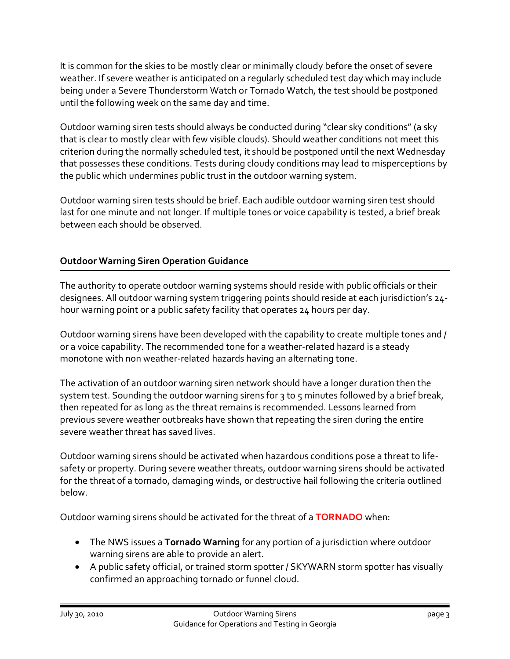It is common for the skies to be mostly clear or minimally cloudy before the onset of severe weather. If severe weather is anticipated on a regularly scheduled test day which may include being under a Severe Thunderstorm Watch or Tornado Watch, the test should be postponed until the following week on the same day and time.

Outdoor warning siren tests should always be conducted during "clear sky conditions" (a sky that is clear to mostly clear with few visible clouds). Should weather conditions not meet this criterion during the normally scheduled test, it should be postponed until the next Wednesday that possesses these conditions. Tests during cloudy conditions may lead to misperceptions by the public which undermines public trust in the outdoor warning system.

Outdoor warning siren tests should be brief. Each audible outdoor warning siren test should last for one minute and not longer. If multiple tones or voice capability is tested, a brief break between each should be observed.

# **Outdoor Warning Siren Operation Guidance**

The authority to operate outdoor warning systems should reside with public officials or their designees. All outdoor warning system triggering points should reside at each jurisdiction's 24‐ hour warning point or a public safety facility that operates 24 hours per day.

Outdoor warning sirens have been developed with the capability to create multiple tones and / or a voice capability. The recommended tone for a weather‐related hazard is a steady monotone with non weather‐related hazards having an alternating tone.

The activation of an outdoor warning siren network should have a longer duration then the system test. Sounding the outdoor warning sirens for 3 to 5 minutes followed by a brief break, then repeated for as long as the threat remains is recommended. Lessons learned from previous severe weather outbreaks have shown that repeating the siren during the entire severe weather threat has saved lives.

Outdoor warning sirens should be activated when hazardous conditions pose a threat to life‐ safety or property. During severe weather threats, outdoor warning sirens should be activated for the threat of a tornado, damaging winds, or destructive hail following the criteria outlined below.

Outdoor warning sirens should be activated for the threat of a **TORNADO** when:

- The NWS issues a **Tornado Warning** for any portion of a jurisdiction where outdoor warning sirens are able to provide an alert.
- A public safety official, or trained storm spotter / SKYWARN storm spotter has visually confirmed an approaching tornado or funnel cloud.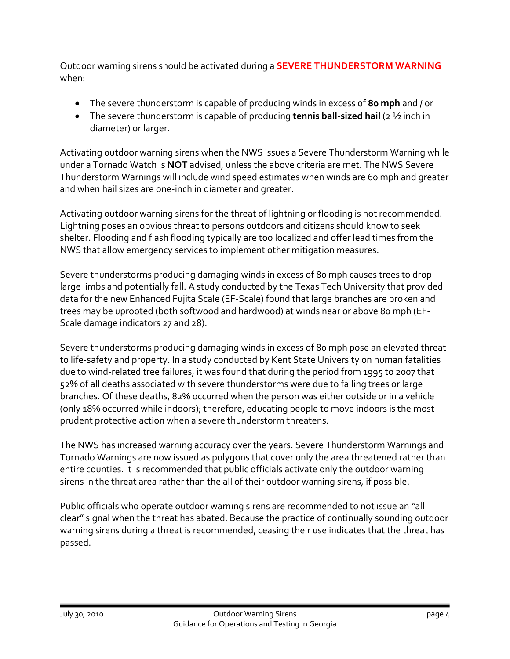Outdoor warning sirens should be activated during a **SEVERE THUNDERSTORM WARNING** when:

- The severe thunderstorm is capable of producing winds in excess of **80 mph** and / or
- The severe thunderstorm is capable of producing **tennis ball‐sized hail** (2 ½ inch in diameter) or larger.

Activating outdoor warning sirens when the NWS issues a Severe Thunderstorm Warning while under a Tornado Watch is **NOT** advised, unless the above criteria are met. The NWS Severe Thunderstorm Warnings will include wind speed estimates when winds are 60 mph and greater and when hail sizes are one‐inch in diameter and greater.

Activating outdoor warning sirens for the threat of lightning or flooding is not recommended. Lightning poses an obvious threat to persons outdoors and citizens should know to seek shelter. Flooding and flash flooding typically are too localized and offer lead times from the NWS that allow emergency services to implement other mitigation measures.

Severe thunderstorms producing damaging winds in excess of 80 mph causes trees to drop large limbs and potentially fall. A study conducted by the Texas Tech University that provided data for the new Enhanced Fujita Scale (EF‐Scale) found that large branches are broken and trees may be uprooted (both softwood and hardwood) at winds near or above 80 mph (EF‐ Scale damage indicators 27 and 28).

Severe thunderstorms producing damaging winds in excess of 80 mph pose an elevated threat to life-safety and property. In a study conducted by Kent State University on human fatalities due to wind‐related tree failures, it was found that during the period from 1995 to 2007 that 52% of all deaths associated with severe thunderstorms were due to falling trees or large branches. Of these deaths, 82% occurred when the person was either outside or in a vehicle (only 18% occurred while indoors); therefore, educating people to move indoors is the most prudent protective action when a severe thunderstorm threatens.

The NWS has increased warning accuracy over the years. Severe Thunderstorm Warnings and Tornado Warnings are now issued as polygons that cover only the area threatened rather than entire counties. It is recommended that public officials activate only the outdoor warning sirens in the threat area rather than the all of their outdoor warning sirens, if possible.

Public officials who operate outdoor warning sirens are recommended to not issue an "all clear" signal when the threat has abated. Because the practice of continually sounding outdoor warning sirens during a threat is recommended, ceasing their use indicates that the threat has passed.